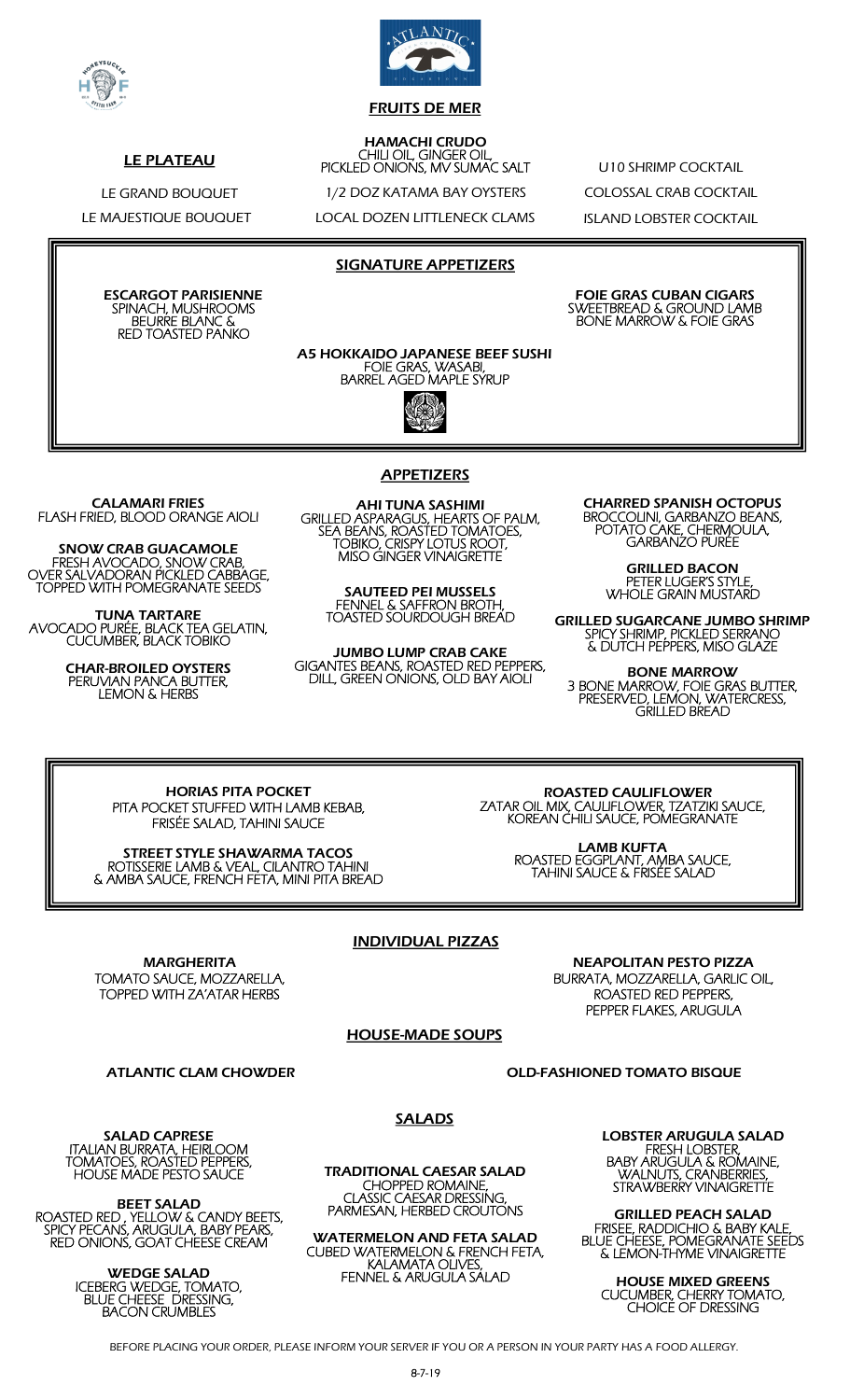

FRUITS DE MER

#### HAMACHI CRUDO CHILI OIL, GINGER OIL, PICKLED ONIONS, MV SUMAC SALT

1/2 DOZ KATAMA BAY OYSTERS

LOCAL DOZEN LITTLENECK CLAMS

U10 SHRIMP COCKTAIL COLOSSAL CRAB COCKTAIL ISLAND LOBSTER COCKTAIL

LE GRAND BOUQUET LE MAJESTIQUE BOUQUET

LE PLATEAU

ESCARGOT PARISIENNE SPINACH, MUSHROOMS BEURRE BLANC & RED TOASTED PANKO

SIGNATURE APPETIZERS

FOIE GRAS CUBAN CIGARS SWEETBREAD & GROUND LAMB BONE MARROW & FOIE GRAS

A5 HOKKAIDO JAPANESE BEEF SUSHI FOIE GRAS, WASABI, BARREL AGED MAPLE SYRUP



CALAMARI FRIES FLASH FRIED, BLOOD ORANGE AIOLI

SNOW CRAB GUACAMOLE FRESH AVOCADO, SNOW CRAB, OVER SALVADORAN PICKLED CABBAGE, TOPPED WITH POMEGRANATE SEEDS

TUNA TARTARE AVOCADO PURÉE, BLACK TEA GELATIN, CUCUMBER, BLACK TOBIKO

> CHAR-BROILED OYSTERS PERUVIAN PANCA BUTTER, LEMON & HERBS

#### **APPETIZERS**

AHI TUNA SASHIMI GRILLED ASPARAGUS, HEARTS OF PALM, SEA BEANS, ROASTED TOMATOES, TOBIKO, CRISPY LOTUS ROOT, MISO GINGER VINAIGRETTE

SAUTEED PEI MUSSELS FENNEL & SAFFRON BROTH, TOASTED SOURDOUGH BREAD

JUMBO LUMP CRAB CAKE GIGANTES BEANS, ROASTED RED PEPPERS, DILL, GREEN ONIONS, OLD BAY AIOLI

CHARRED SPANISH OCTOPUS BROCCOLINI, GARBANZO BEANS, POTATO CAKE, CHERMOULA, GARBANZO PURÉE

> GRILLED BACON PETER LUGER'S STYLE, WHOLE GRAIN MUSTARD

GRILLED SUGARCANE JUMBO SHRIMP SPICY SHRIMP, PICKLED SERRANO & DUTCH PEPPERS, MISO GLAZE

BONE MARROW 3 BONE MARROW, FOIE GRAS BUTTER, PRESERVED, LEMON, WATERCRESS, GRILLED BREAD

HORIAS PITA POCKET PITA POCKET STUFFED WITH LAMB KEBAB, FRISÉE SALAD, TAHINI SAUCE

STREET STYLE SHAWARMA TACOS ROTISSERIE LAMB & VEAL, CILANTRO TAHINI & AMBA SAUCE, FRENCH FETA, MINI PITA BREAD

 ROASTED CAULIFLOWER ZATAR OIL MIX, CAULIFLOWER, TZATZIKI SAUCE, KOREAN CHILI SAUCE, POMEGRANATE

> LAMB KUFTA ROASTED EGGPLANT, AMBA SAUCE, TAHINI SAUCE & FRISÉE SALAD

## INDIVIDUAL PIZZAS

MARGHERITA TOMATO SAUCE, MOZZARELLA, TOPPED WITH ZA'ATAR HERBS

NEAPOLITAN PESTO PIZZA BURRATA, MOZZARELLA, GARLIC OIL, ROASTED RED PEPPERS, PEPPER FLAKES, ARUGULA

## HOUSE-MADE SOUPS

ATLANTIC CLAM CHOWDER **CLAM CHOWDER CLAM CHOWDER OLD-FASHIONED TOMATO BISQUE** 

SALAD CAPRESE ITALIAN BURRATA, HEIRLOOM TOMATOES, ROASTED PEPPERS, HOUSE MADE PESTO SAUCE

BEET SALAD ROASTED RED , YELLOW & CANDY BEETS, SPICY PECANS, ARUGULA, BABY PEARS, RED ONIONS, GOAT CHEESE CREAM

> WEDGE SALAD ICEBERG WEDGE, TOMATO, BLUE CHEESE DRESSING, BACON CRUMBLES

SALADS

TRADITIONAL CAESAR SALAD CHOPPED ROMAINE, CLASSIC CAESAR DRESSING, PARMESAN, HERBED CROUTONS

WATERMELON AND FETA SALAD CUBED WATERMELON & FRENCH FETA, KALAMATA OLIVES, FENNEL & ARUGULA SALAD

LOBSTER ARUGULA SALAD FRESH LOBSTER, BABY ARUGULA & ROMAINE, WALNUTS, CRANBERRIES, STRAWBERRY VINAIGRETTE

GRILLED PEACH SALAD FRISEE, RADDICHIO & BABY KALE, BLUE CHEESE, POMEGRANATE SEEDS & LEMON-THYME VINAIGRETTE

HOUSE MIXED GREENS CUCUMBER, CHERRY TOMATO, CHOICE OF DRESSING

BEFORE PLACING YOUR ORDER, PLEASE INFORM YOUR SERVER IF YOU OR A PERSON IN YOUR PARTY HAS A FOOD ALLERGY.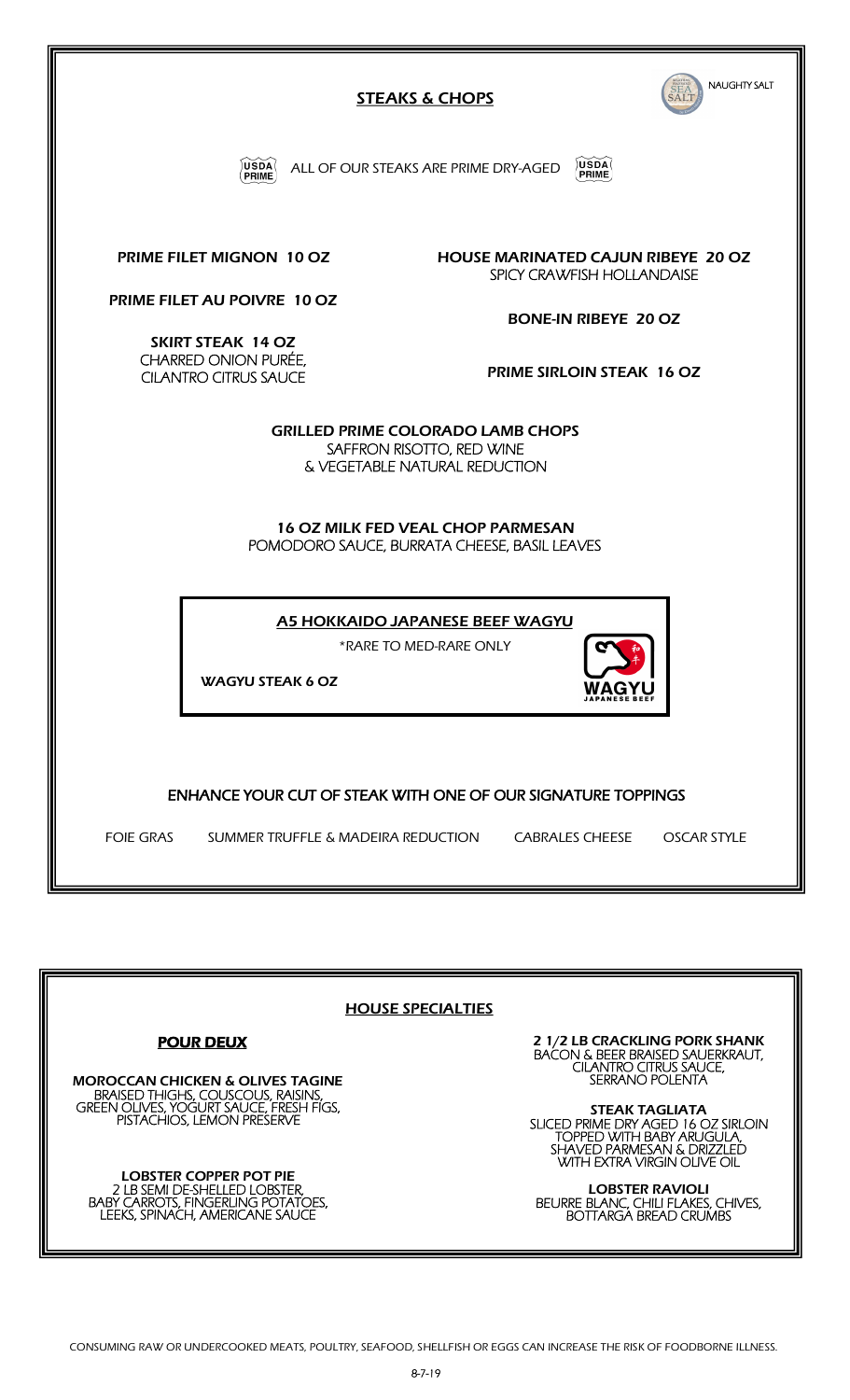

| <b>HOUSE SPECIALTIES</b>                                                                                                     |                                                                                                                                          |
|------------------------------------------------------------------------------------------------------------------------------|------------------------------------------------------------------------------------------------------------------------------------------|
| <b>POUR DEUX</b>                                                                                                             | 2 1/2 LB CRACKLING PORK SHANK<br><b>BAĆON &amp; BEER BRAISED SAUERKRAUT,</b><br><b>CILANTRO CITRUS SAUCE,</b>                            |
| <b>MOROCCAN CHICKEN &amp; OLIVES TAGINE</b><br>BRAISED THIGHS, COUSCOUS, RAISINS,<br>GREEN OLIVES, YOGURT SAUCE, FRESH FIGS, | SERRANO POLENTA<br><b>STEAK TAGLIATA</b>                                                                                                 |
| PISTACHIOS, LEMON PRESERVE                                                                                                   | SLICED PRIME DRY AGED 16 OZ SIRLOIN<br>TOPPED WITH BABY ARUGULA,<br><b>SHAVED PARMESAN &amp; DRIZZLED</b><br>WITH EXTRA VIRGIN OLIVE OIL |
| LOBSTER COPPER POT PIE<br>2 LB SEMI DE-SHELLED LOBSTER,<br><b>BABY CARROTS, FINGERLING POTATOES,</b>                         | <b>LOBSTER RAVIOLI</b><br>BEURRE BLANC, CHILI FLAKES, CHIVES,                                                                            |
| LEEKS, SPINACH, AMERICANE SAUCE                                                                                              | <b>BOTTARGA BREAD CRUMBS</b>                                                                                                             |